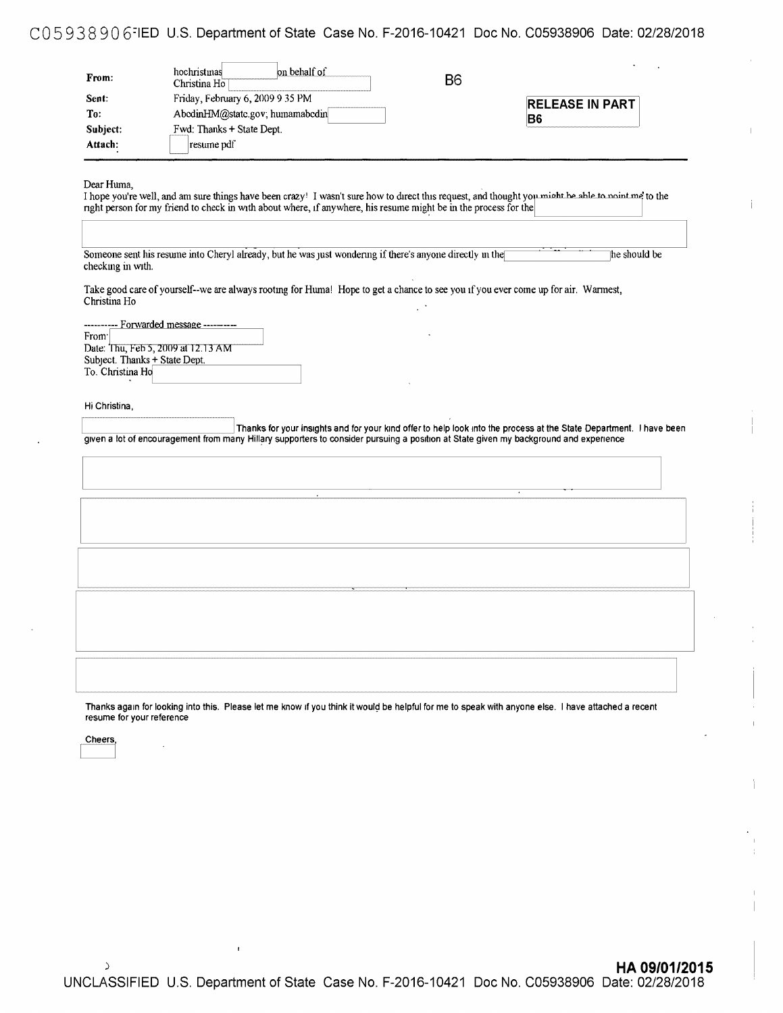## C05 938 90 6=1ED U.S. Department of State Case No. F-2016-10421 Doc No. C05938906 Date: 02/28/2018

| From:    | on behalf of<br>hochristmas<br>Christina Ho <sup>-</sup> | B <sub>6</sub> |                        |
|----------|----------------------------------------------------------|----------------|------------------------|
| Sent:    | Friday, February 6, 2009 9 35 PM                         |                | <b>RELEASE IN PART</b> |
| To:      | AbedinHM@state.gov; humamabedin                          |                | B6                     |
| Subject: | Fwd: Thanks + State Dept.                                |                |                        |
| Attach:  | resume pdf                                               |                |                        |

| I hope you're well, and am sure things have been crazy! I wasn't sure how to direct this request, and thought you might be able to noint me to the<br>right person for my friend to check in with about where, if anywhere, his resume might be in the process for the |              |
|------------------------------------------------------------------------------------------------------------------------------------------------------------------------------------------------------------------------------------------------------------------------|--------------|
| Someone sent his resume into Cheryl already, but he was just wondering if there's anyone directly in the<br>checking in with.                                                                                                                                          | he should be |
| Take good care of yourself--we are always rooting for Huma! Hope to get a chance to see you if you ever come up for air. Warmest,<br>Christina Ho                                                                                                                      |              |
| ---------- Forwarded message --------<br>From <sup>-</sup><br>Date: Thu, Feb 5, 2009 at 12.13 AM<br>Subject. Thanks + State Dept.<br>To. Christina Ho                                                                                                                  |              |
|                                                                                                                                                                                                                                                                        |              |
| Hi Christina,                                                                                                                                                                                                                                                          |              |
| Thanks for your insights and for your kind offer to help look into the process at the State Department. I have been<br>given a lot of encouragement from many Hillary supporters to consider pursuing a position at State given my background and experience           |              |
|                                                                                                                                                                                                                                                                        |              |
|                                                                                                                                                                                                                                                                        |              |
|                                                                                                                                                                                                                                                                        |              |
|                                                                                                                                                                                                                                                                        |              |
|                                                                                                                                                                                                                                                                        |              |
|                                                                                                                                                                                                                                                                        |              |
|                                                                                                                                                                                                                                                                        |              |
|                                                                                                                                                                                                                                                                        |              |

Cheers,<br> **c**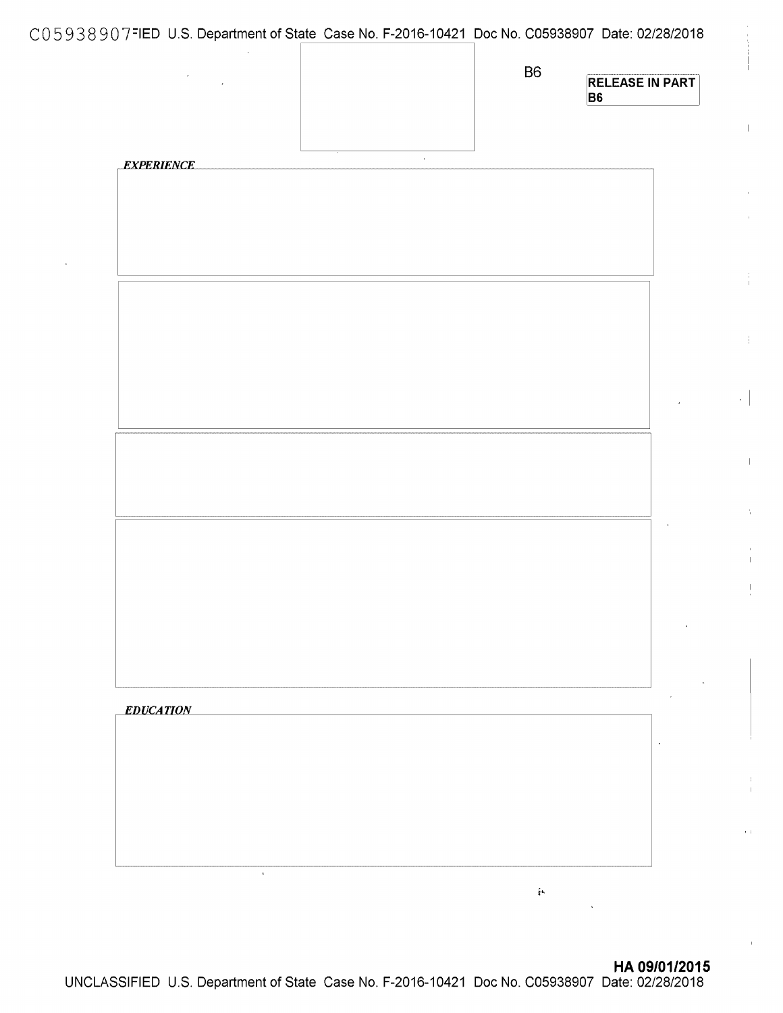|                   |                |                   |                   | C05938907 FIED U.S. Department of State Case No. F-2016-10421 Doc No. C05938907 Date: 02/28/2018 |
|-------------------|----------------|-------------------|-------------------|--------------------------------------------------------------------------------------------------|
| $\sim 10^{11}$    |                |                   | <b>B6</b>         | <b>RELEASE IN PART</b><br>B <sub>6</sub>                                                         |
|                   |                | <b>Contractor</b> |                   |                                                                                                  |
| <b>EXPERIENCE</b> |                |                   |                   |                                                                                                  |
|                   |                |                   |                   |                                                                                                  |
|                   |                |                   |                   |                                                                                                  |
|                   |                |                   |                   |                                                                                                  |
|                   |                |                   |                   |                                                                                                  |
|                   |                |                   |                   |                                                                                                  |
|                   |                |                   |                   |                                                                                                  |
|                   |                |                   |                   |                                                                                                  |
|                   |                |                   |                   |                                                                                                  |
|                   |                |                   |                   |                                                                                                  |
|                   |                |                   |                   |                                                                                                  |
|                   |                |                   |                   |                                                                                                  |
|                   |                |                   |                   |                                                                                                  |
|                   |                |                   |                   |                                                                                                  |
|                   |                |                   |                   |                                                                                                  |
|                   |                |                   |                   |                                                                                                  |
| <b>EDUCATION</b>  |                |                   |                   |                                                                                                  |
|                   |                |                   |                   |                                                                                                  |
|                   |                |                   |                   |                                                                                                  |
|                   |                |                   |                   |                                                                                                  |
|                   |                |                   |                   |                                                                                                  |
|                   | $\mathbf{r}$ . |                   |                   |                                                                                                  |
|                   |                |                   | $\frac{\zeta}{4}$ |                                                                                                  |

 $\begin{array}{c} \hline \end{array}$ 

÷

 $\mathcal{L}^{\pm}$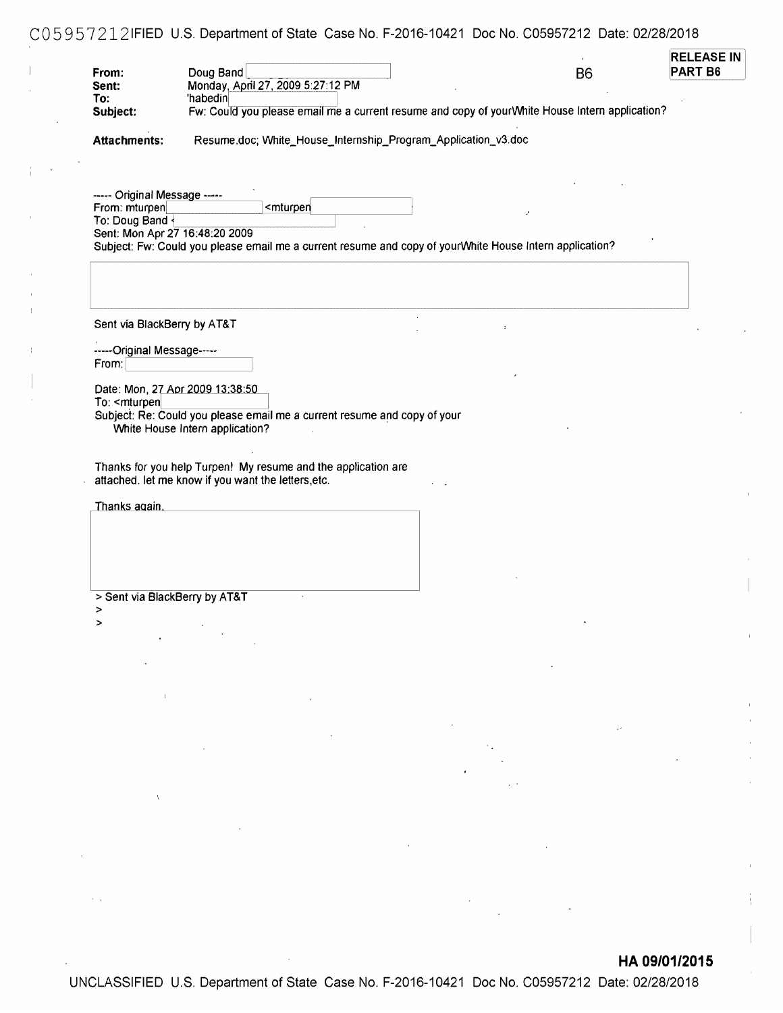# CO 5 9 5 7 212 IFIED U.S. Department of State Case No. F-2016-10421 Doc No. C05957212 Date: 02/28/2018

| From:                                                                                                                                       | Doug Band<br>Monday, April 27, 2009 5:27:12 PM                                                                                                                                                                                                                                                                                                                                                                                                              |                                                                                                                                                                                                                                                                                                                                                                                                                                                                           |  | B <sub>6</sub>                                                                                                                                                                                                                                                                                                                                                                                                                                              | PART B6 |
|---------------------------------------------------------------------------------------------------------------------------------------------|-------------------------------------------------------------------------------------------------------------------------------------------------------------------------------------------------------------------------------------------------------------------------------------------------------------------------------------------------------------------------------------------------------------------------------------------------------------|---------------------------------------------------------------------------------------------------------------------------------------------------------------------------------------------------------------------------------------------------------------------------------------------------------------------------------------------------------------------------------------------------------------------------------------------------------------------------|--|-------------------------------------------------------------------------------------------------------------------------------------------------------------------------------------------------------------------------------------------------------------------------------------------------------------------------------------------------------------------------------------------------------------------------------------------------------------|---------|
| Sent:<br>To:                                                                                                                                | 'habedin                                                                                                                                                                                                                                                                                                                                                                                                                                                    |                                                                                                                                                                                                                                                                                                                                                                                                                                                                           |  |                                                                                                                                                                                                                                                                                                                                                                                                                                                             |         |
| Subject:                                                                                                                                    |                                                                                                                                                                                                                                                                                                                                                                                                                                                             | Fw: Could you please email me a current resume and copy of yourWhite House Intern application?                                                                                                                                                                                                                                                                                                                                                                            |  |                                                                                                                                                                                                                                                                                                                                                                                                                                                             |         |
|                                                                                                                                             |                                                                                                                                                                                                                                                                                                                                                                                                                                                             |                                                                                                                                                                                                                                                                                                                                                                                                                                                                           |  |                                                                                                                                                                                                                                                                                                                                                                                                                                                             |         |
| <b>Attachments:</b>                                                                                                                         |                                                                                                                                                                                                                                                                                                                                                                                                                                                             | Resume.doc; White_House_Internship_Program_Application_v3.doc                                                                                                                                                                                                                                                                                                                                                                                                             |  |                                                                                                                                                                                                                                                                                                                                                                                                                                                             |         |
|                                                                                                                                             |                                                                                                                                                                                                                                                                                                                                                                                                                                                             |                                                                                                                                                                                                                                                                                                                                                                                                                                                                           |  |                                                                                                                                                                                                                                                                                                                                                                                                                                                             |         |
|                                                                                                                                             |                                                                                                                                                                                                                                                                                                                                                                                                                                                             |                                                                                                                                                                                                                                                                                                                                                                                                                                                                           |  |                                                                                                                                                                                                                                                                                                                                                                                                                                                             |         |
|                                                                                                                                             |                                                                                                                                                                                                                                                                                                                                                                                                                                                             |                                                                                                                                                                                                                                                                                                                                                                                                                                                                           |  |                                                                                                                                                                                                                                                                                                                                                                                                                                                             |         |
| ----- Original Message -----                                                                                                                |                                                                                                                                                                                                                                                                                                                                                                                                                                                             |                                                                                                                                                                                                                                                                                                                                                                                                                                                                           |  |                                                                                                                                                                                                                                                                                                                                                                                                                                                             |         |
| From: mturpen                                                                                                                               |                                                                                                                                                                                                                                                                                                                                                                                                                                                             | <mturpen< td=""><td></td><td></td><td></td></mturpen<>                                                                                                                                                                                                                                                                                                                                                                                                                    |  |                                                                                                                                                                                                                                                                                                                                                                                                                                                             |         |
| To: Doug Band <                                                                                                                             |                                                                                                                                                                                                                                                                                                                                                                                                                                                             |                                                                                                                                                                                                                                                                                                                                                                                                                                                                           |  |                                                                                                                                                                                                                                                                                                                                                                                                                                                             |         |
| Sent: Mon Apr 27 16:48:20 2009                                                                                                              |                                                                                                                                                                                                                                                                                                                                                                                                                                                             |                                                                                                                                                                                                                                                                                                                                                                                                                                                                           |  |                                                                                                                                                                                                                                                                                                                                                                                                                                                             |         |
|                                                                                                                                             | Subject: Fw: Could you please email me a current resume and copy of yourWhite House Intern application?                                                                                                                                                                                                                                                                                                                                                     |                                                                                                                                                                                                                                                                                                                                                                                                                                                                           |  |                                                                                                                                                                                                                                                                                                                                                                                                                                                             |         |
|                                                                                                                                             |                                                                                                                                                                                                                                                                                                                                                                                                                                                             |                                                                                                                                                                                                                                                                                                                                                                                                                                                                           |  |                                                                                                                                                                                                                                                                                                                                                                                                                                                             |         |
|                                                                                                                                             |                                                                                                                                                                                                                                                                                                                                                                                                                                                             |                                                                                                                                                                                                                                                                                                                                                                                                                                                                           |  |                                                                                                                                                                                                                                                                                                                                                                                                                                                             |         |
|                                                                                                                                             |                                                                                                                                                                                                                                                                                                                                                                                                                                                             |                                                                                                                                                                                                                                                                                                                                                                                                                                                                           |  |                                                                                                                                                                                                                                                                                                                                                                                                                                                             |         |
|                                                                                                                                             |                                                                                                                                                                                                                                                                                                                                                                                                                                                             |                                                                                                                                                                                                                                                                                                                                                                                                                                                                           |  |                                                                                                                                                                                                                                                                                                                                                                                                                                                             |         |
| Sent via BlackBerry by AT&T                                                                                                                 |                                                                                                                                                                                                                                                                                                                                                                                                                                                             |                                                                                                                                                                                                                                                                                                                                                                                                                                                                           |  |                                                                                                                                                                                                                                                                                                                                                                                                                                                             |         |
|                                                                                                                                             |                                                                                                                                                                                                                                                                                                                                                                                                                                                             |                                                                                                                                                                                                                                                                                                                                                                                                                                                                           |  |                                                                                                                                                                                                                                                                                                                                                                                                                                                             |         |
| -----Original Message-----                                                                                                                  |                                                                                                                                                                                                                                                                                                                                                                                                                                                             |                                                                                                                                                                                                                                                                                                                                                                                                                                                                           |  |                                                                                                                                                                                                                                                                                                                                                                                                                                                             |         |
| From:                                                                                                                                       |                                                                                                                                                                                                                                                                                                                                                                                                                                                             |                                                                                                                                                                                                                                                                                                                                                                                                                                                                           |  |                                                                                                                                                                                                                                                                                                                                                                                                                                                             |         |
|                                                                                                                                             |                                                                                                                                                                                                                                                                                                                                                                                                                                                             |                                                                                                                                                                                                                                                                                                                                                                                                                                                                           |  |                                                                                                                                                                                                                                                                                                                                                                                                                                                             |         |
|                                                                                                                                             | Date: Mon, 27 Apr 2009 13:38:50                                                                                                                                                                                                                                                                                                                                                                                                                             |                                                                                                                                                                                                                                                                                                                                                                                                                                                                           |  |                                                                                                                                                                                                                                                                                                                                                                                                                                                             |         |
| To: <mturpen< td=""><td></td><td></td><td></td><td></td><td></td></mturpen<>                                                                |                                                                                                                                                                                                                                                                                                                                                                                                                                                             |                                                                                                                                                                                                                                                                                                                                                                                                                                                                           |  |                                                                                                                                                                                                                                                                                                                                                                                                                                                             |         |
|                                                                                                                                             | Subject: Re: Could you please email me a current resume and copy of your                                                                                                                                                                                                                                                                                                                                                                                    |                                                                                                                                                                                                                                                                                                                                                                                                                                                                           |  |                                                                                                                                                                                                                                                                                                                                                                                                                                                             |         |
|                                                                                                                                             | White House Intern application?                                                                                                                                                                                                                                                                                                                                                                                                                             |                                                                                                                                                                                                                                                                                                                                                                                                                                                                           |  |                                                                                                                                                                                                                                                                                                                                                                                                                                                             |         |
|                                                                                                                                             | Thanks for you help Turpen! My resume and the application are<br>attached. let me know if you want the letters, etc.                                                                                                                                                                                                                                                                                                                                        |                                                                                                                                                                                                                                                                                                                                                                                                                                                                           |  |                                                                                                                                                                                                                                                                                                                                                                                                                                                             |         |
|                                                                                                                                             |                                                                                                                                                                                                                                                                                                                                                                                                                                                             |                                                                                                                                                                                                                                                                                                                                                                                                                                                                           |  |                                                                                                                                                                                                                                                                                                                                                                                                                                                             |         |
| Thanks again.                                                                                                                               |                                                                                                                                                                                                                                                                                                                                                                                                                                                             |                                                                                                                                                                                                                                                                                                                                                                                                                                                                           |  |                                                                                                                                                                                                                                                                                                                                                                                                                                                             |         |
|                                                                                                                                             |                                                                                                                                                                                                                                                                                                                                                                                                                                                             |                                                                                                                                                                                                                                                                                                                                                                                                                                                                           |  |                                                                                                                                                                                                                                                                                                                                                                                                                                                             |         |
|                                                                                                                                             |                                                                                                                                                                                                                                                                                                                                                                                                                                                             |                                                                                                                                                                                                                                                                                                                                                                                                                                                                           |  |                                                                                                                                                                                                                                                                                                                                                                                                                                                             |         |
|                                                                                                                                             |                                                                                                                                                                                                                                                                                                                                                                                                                                                             |                                                                                                                                                                                                                                                                                                                                                                                                                                                                           |  |                                                                                                                                                                                                                                                                                                                                                                                                                                                             |         |
|                                                                                                                                             |                                                                                                                                                                                                                                                                                                                                                                                                                                                             |                                                                                                                                                                                                                                                                                                                                                                                                                                                                           |  |                                                                                                                                                                                                                                                                                                                                                                                                                                                             |         |
|                                                                                                                                             |                                                                                                                                                                                                                                                                                                                                                                                                                                                             |                                                                                                                                                                                                                                                                                                                                                                                                                                                                           |  |                                                                                                                                                                                                                                                                                                                                                                                                                                                             |         |
| > Sent via BlackBerry by AT&T<br>>                                                                                                          |                                                                                                                                                                                                                                                                                                                                                                                                                                                             |                                                                                                                                                                                                                                                                                                                                                                                                                                                                           |  |                                                                                                                                                                                                                                                                                                                                                                                                                                                             |         |
| $\,$                                                                                                                                        |                                                                                                                                                                                                                                                                                                                                                                                                                                                             |                                                                                                                                                                                                                                                                                                                                                                                                                                                                           |  |                                                                                                                                                                                                                                                                                                                                                                                                                                                             |         |
|                                                                                                                                             |                                                                                                                                                                                                                                                                                                                                                                                                                                                             |                                                                                                                                                                                                                                                                                                                                                                                                                                                                           |  | $\mathcal{L}(\mathcal{A})$ , $\mathcal{A}(\mathcal{A})$                                                                                                                                                                                                                                                                                                                                                                                                     |         |
|                                                                                                                                             |                                                                                                                                                                                                                                                                                                                                                                                                                                                             |                                                                                                                                                                                                                                                                                                                                                                                                                                                                           |  |                                                                                                                                                                                                                                                                                                                                                                                                                                                             |         |
|                                                                                                                                             |                                                                                                                                                                                                                                                                                                                                                                                                                                                             |                                                                                                                                                                                                                                                                                                                                                                                                                                                                           |  |                                                                                                                                                                                                                                                                                                                                                                                                                                                             |         |
|                                                                                                                                             | $\mathcal{L}(\mathcal{L}(\mathcal{L}(\mathcal{L}(\mathcal{L}(\mathcal{L}(\mathcal{L}(\mathcal{L}(\mathcal{L}(\mathcal{L}(\mathcal{L}(\mathcal{L}(\mathcal{L}(\mathcal{L}(\mathcal{L}(\mathcal{L}(\mathcal{L}(\mathcal{L}(\mathcal{L}(\mathcal{L}(\mathcal{L}(\mathcal{L}(\mathcal{L}(\mathcal{L}(\mathcal{L}(\mathcal{L}(\mathcal{L}(\mathcal{L}(\mathcal{L}(\mathcal{L}(\mathcal{L}(\mathcal{L}(\mathcal{L}(\mathcal{L}(\mathcal{L}(\mathcal{L}(\mathcal{$ |                                                                                                                                                                                                                                                                                                                                                                                                                                                                           |  | $\mathcal{L}(\mathcal{L}(\mathcal{L}(\mathcal{L}(\mathcal{L}(\mathcal{L}(\mathcal{L}(\mathcal{L}(\mathcal{L}(\mathcal{L}(\mathcal{L}(\mathcal{L}(\mathcal{L}(\mathcal{L}(\mathcal{L}(\mathcal{L}(\mathcal{L}(\mathcal{L}(\mathcal{L}(\mathcal{L}(\mathcal{L}(\mathcal{L}(\mathcal{L}(\mathcal{L}(\mathcal{L}(\mathcal{L}(\mathcal{L}(\mathcal{L}(\mathcal{L}(\mathcal{L}(\mathcal{L}(\mathcal{L}(\mathcal{L}(\mathcal{L}(\mathcal{L}(\mathcal{L}(\mathcal{$ |         |
|                                                                                                                                             |                                                                                                                                                                                                                                                                                                                                                                                                                                                             |                                                                                                                                                                                                                                                                                                                                                                                                                                                                           |  |                                                                                                                                                                                                                                                                                                                                                                                                                                                             |         |
|                                                                                                                                             | $\mathcal{A}=\mathcal{A}$ , and the set of the set of the set of the set of the set of the set of the set of the set of the set of the set of the set of the set of the set of the set of the set of the set of the set of the set of th                                                                                                                                                                                                                    |                                                                                                                                                                                                                                                                                                                                                                                                                                                                           |  |                                                                                                                                                                                                                                                                                                                                                                                                                                                             |         |
|                                                                                                                                             |                                                                                                                                                                                                                                                                                                                                                                                                                                                             |                                                                                                                                                                                                                                                                                                                                                                                                                                                                           |  |                                                                                                                                                                                                                                                                                                                                                                                                                                                             |         |
|                                                                                                                                             |                                                                                                                                                                                                                                                                                                                                                                                                                                                             |                                                                                                                                                                                                                                                                                                                                                                                                                                                                           |  |                                                                                                                                                                                                                                                                                                                                                                                                                                                             |         |
|                                                                                                                                             |                                                                                                                                                                                                                                                                                                                                                                                                                                                             | $\label{eq:2.1} \mathcal{L}(\mathcal{L}) = \mathcal{L}(\mathcal{L}) = \mathcal{L}(\mathcal{L}) = \mathcal{L}(\mathcal{L}) = \mathcal{L}(\mathcal{L}) = \mathcal{L}(\mathcal{L}) = \mathcal{L}(\mathcal{L}) = \mathcal{L}(\mathcal{L}) = \mathcal{L}(\mathcal{L}) = \mathcal{L}(\mathcal{L}) = \mathcal{L}(\mathcal{L}) = \mathcal{L}(\mathcal{L}) = \mathcal{L}(\mathcal{L}) = \mathcal{L}(\mathcal{L}) = \mathcal{L}(\mathcal{L}) = \mathcal{L}(\mathcal{L}) = \mathcal$ |  |                                                                                                                                                                                                                                                                                                                                                                                                                                                             |         |
|                                                                                                                                             | $\label{eq:2.1} \mathcal{L}(\mathcal{L}^{\text{max}}_{\mathcal{L}}(\mathcal{L}^{\text{max}}_{\mathcal{L}}))\leq \mathcal{L}(\mathcal{L}^{\text{max}}_{\mathcal{L}}(\mathcal{L}^{\text{max}}_{\mathcal{L}}))$                                                                                                                                                                                                                                                |                                                                                                                                                                                                                                                                                                                                                                                                                                                                           |  |                                                                                                                                                                                                                                                                                                                                                                                                                                                             |         |
|                                                                                                                                             |                                                                                                                                                                                                                                                                                                                                                                                                                                                             |                                                                                                                                                                                                                                                                                                                                                                                                                                                                           |  |                                                                                                                                                                                                                                                                                                                                                                                                                                                             |         |
|                                                                                                                                             |                                                                                                                                                                                                                                                                                                                                                                                                                                                             |                                                                                                                                                                                                                                                                                                                                                                                                                                                                           |  |                                                                                                                                                                                                                                                                                                                                                                                                                                                             |         |
| $\mathcal{O}(\mathcal{O}_\mathcal{O})$ and $\mathcal{O}(\mathcal{O}_\mathcal{O})$ . As a function of $\mathcal{O}(\mathcal{O}_\mathcal{O})$ |                                                                                                                                                                                                                                                                                                                                                                                                                                                             |                                                                                                                                                                                                                                                                                                                                                                                                                                                                           |  |                                                                                                                                                                                                                                                                                                                                                                                                                                                             |         |
|                                                                                                                                             |                                                                                                                                                                                                                                                                                                                                                                                                                                                             |                                                                                                                                                                                                                                                                                                                                                                                                                                                                           |  |                                                                                                                                                                                                                                                                                                                                                                                                                                                             |         |
|                                                                                                                                             |                                                                                                                                                                                                                                                                                                                                                                                                                                                             |                                                                                                                                                                                                                                                                                                                                                                                                                                                                           |  |                                                                                                                                                                                                                                                                                                                                                                                                                                                             |         |
|                                                                                                                                             | $\mathcal{L}(\mathcal{L})$ and $\mathcal{L}(\mathcal{L})$ . The set of $\mathcal{L}(\mathcal{L})$                                                                                                                                                                                                                                                                                                                                                           |                                                                                                                                                                                                                                                                                                                                                                                                                                                                           |  |                                                                                                                                                                                                                                                                                                                                                                                                                                                             |         |
|                                                                                                                                             |                                                                                                                                                                                                                                                                                                                                                                                                                                                             | $\mathcal{L}(\mathcal{L}(\mathcal{L}))$ and the set of the set of the set of the set of the set of the set of the set of the set of the set of the set of the set of the set of the set of the set of the set of the set of the set of the set o                                                                                                                                                                                                                          |  |                                                                                                                                                                                                                                                                                                                                                                                                                                                             |         |
|                                                                                                                                             |                                                                                                                                                                                                                                                                                                                                                                                                                                                             |                                                                                                                                                                                                                                                                                                                                                                                                                                                                           |  |                                                                                                                                                                                                                                                                                                                                                                                                                                                             |         |

 $\sim 10^4$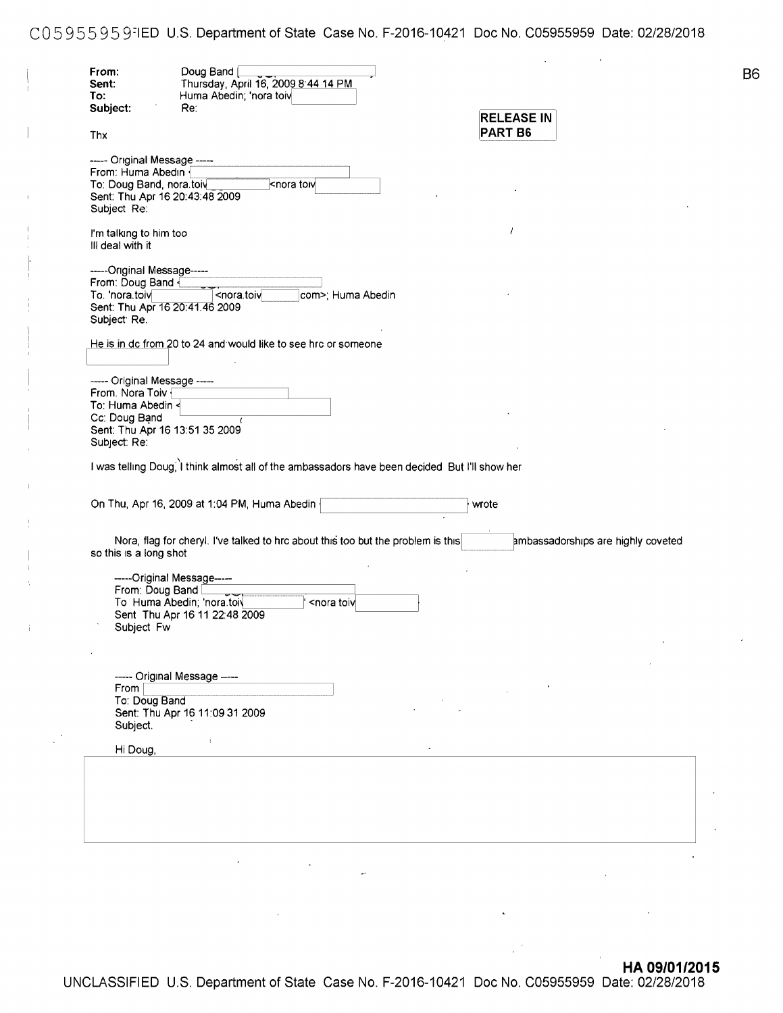C05 955 95 9;1ED U.S. Department of State Case No. F-2016-10421 Doc No. C05955959 Date: 02/28/2018

| To:<br>Subject:<br>Thx<br>----- Original Message -----                                                                                                                                                            | Huma Abedin; 'nora toiv<br>Re:<br><nora th="" tow<=""><th></th><th><b>RELEASE IN</b><br/>PART B6</th><th></th><th></th></nora> |                                                         | <b>RELEASE IN</b><br>PART B6 |                                    |  |
|-------------------------------------------------------------------------------------------------------------------------------------------------------------------------------------------------------------------|--------------------------------------------------------------------------------------------------------------------------------|---------------------------------------------------------|------------------------------|------------------------------------|--|
|                                                                                                                                                                                                                   |                                                                                                                                |                                                         |                              |                                    |  |
|                                                                                                                                                                                                                   |                                                                                                                                |                                                         |                              |                                    |  |
|                                                                                                                                                                                                                   |                                                                                                                                |                                                         |                              |                                    |  |
| From: Huma Abedin<br>To: Doug Band, nora.toiv<br>Sent: Thu Apr 16 20:43:48 2009<br>Subject Re:<br>I'm talking to him too<br>III deal with it<br>-----Original Message-----<br>From: Doug Band {<br>To. 'nora.toiv |                                                                                                                                |                                                         |                              |                                    |  |
|                                                                                                                                                                                                                   |                                                                                                                                |                                                         |                              |                                    |  |
|                                                                                                                                                                                                                   |                                                                                                                                |                                                         |                              |                                    |  |
|                                                                                                                                                                                                                   |                                                                                                                                |                                                         |                              |                                    |  |
|                                                                                                                                                                                                                   |                                                                                                                                |                                                         | $\prime$                     |                                    |  |
|                                                                                                                                                                                                                   |                                                                                                                                |                                                         |                              |                                    |  |
|                                                                                                                                                                                                                   |                                                                                                                                |                                                         |                              |                                    |  |
| Sent: Thu Apr 16 20:41.46 2009                                                                                                                                                                                    | <nora.toiv< td=""><td>com&gt;; Huma Abedin</td><td></td><td></td><td></td></nora.toiv<>                                        | com>; Huma Abedin                                       |                              |                                    |  |
| Subject: Re.                                                                                                                                                                                                      |                                                                                                                                |                                                         |                              |                                    |  |
|                                                                                                                                                                                                                   | He is in dc from 20 to 24 and would like to see hrc or someone                                                                 |                                                         |                              |                                    |  |
|                                                                                                                                                                                                                   |                                                                                                                                |                                                         |                              |                                    |  |
| ----- Original Message ----                                                                                                                                                                                       |                                                                                                                                |                                                         |                              |                                    |  |
| From. Nora Toiv                                                                                                                                                                                                   |                                                                                                                                |                                                         |                              |                                    |  |
| To: Huma Abedin <                                                                                                                                                                                                 |                                                                                                                                |                                                         |                              |                                    |  |
| Cc: Doug Band<br>Sent: Thu Apr 16 13:51 35 2009                                                                                                                                                                   |                                                                                                                                |                                                         |                              |                                    |  |
| Subject: Re:                                                                                                                                                                                                      |                                                                                                                                |                                                         |                              |                                    |  |
|                                                                                                                                                                                                                   |                                                                                                                                |                                                         |                              |                                    |  |
|                                                                                                                                                                                                                   | On Thu, Apr 16, 2009 at 1:04 PM, Huma Abedin                                                                                   |                                                         | wrote                        |                                    |  |
| so this is a long shot                                                                                                                                                                                            | Nora, flag for cheryl. I've talked to hrc about this too but the problem is this                                               |                                                         |                              | ambassadorships are highly coveted |  |
| -----Original Message-----                                                                                                                                                                                        |                                                                                                                                |                                                         |                              |                                    |  |
| From: Doug Band [                                                                                                                                                                                                 |                                                                                                                                |                                                         |                              |                                    |  |
| To Huma Abedin; 'nora.toiv                                                                                                                                                                                        |                                                                                                                                | <nora td="" toiv<=""><td></td><td></td><td></td></nora> |                              |                                    |  |
|                                                                                                                                                                                                                   | Sent Thu Apr 16 11 22:48 2009                                                                                                  |                                                         |                              |                                    |  |
| Subject Fw                                                                                                                                                                                                        |                                                                                                                                |                                                         |                              |                                    |  |
|                                                                                                                                                                                                                   |                                                                                                                                |                                                         |                              |                                    |  |
|                                                                                                                                                                                                                   |                                                                                                                                |                                                         |                              |                                    |  |
| ----- Original Message ----                                                                                                                                                                                       |                                                                                                                                |                                                         |                              |                                    |  |
| From $ $<br>To: Doug Band                                                                                                                                                                                         |                                                                                                                                |                                                         |                              |                                    |  |
|                                                                                                                                                                                                                   | Sent: Thu Apr 16 11:09 31 2009                                                                                                 |                                                         |                              |                                    |  |
| Subject.                                                                                                                                                                                                          |                                                                                                                                |                                                         |                              |                                    |  |
|                                                                                                                                                                                                                   | $\ddot{\phantom{a}}$                                                                                                           |                                                         |                              |                                    |  |
| Hi Doug,                                                                                                                                                                                                          |                                                                                                                                |                                                         |                              |                                    |  |
|                                                                                                                                                                                                                   |                                                                                                                                |                                                         |                              |                                    |  |
|                                                                                                                                                                                                                   |                                                                                                                                |                                                         |                              |                                    |  |
|                                                                                                                                                                                                                   |                                                                                                                                |                                                         |                              |                                    |  |
|                                                                                                                                                                                                                   |                                                                                                                                |                                                         |                              |                                    |  |
|                                                                                                                                                                                                                   |                                                                                                                                |                                                         |                              |                                    |  |
|                                                                                                                                                                                                                   |                                                                                                                                |                                                         |                              |                                    |  |
|                                                                                                                                                                                                                   |                                                                                                                                |                                                         |                              |                                    |  |

**B**<sup>6</sup>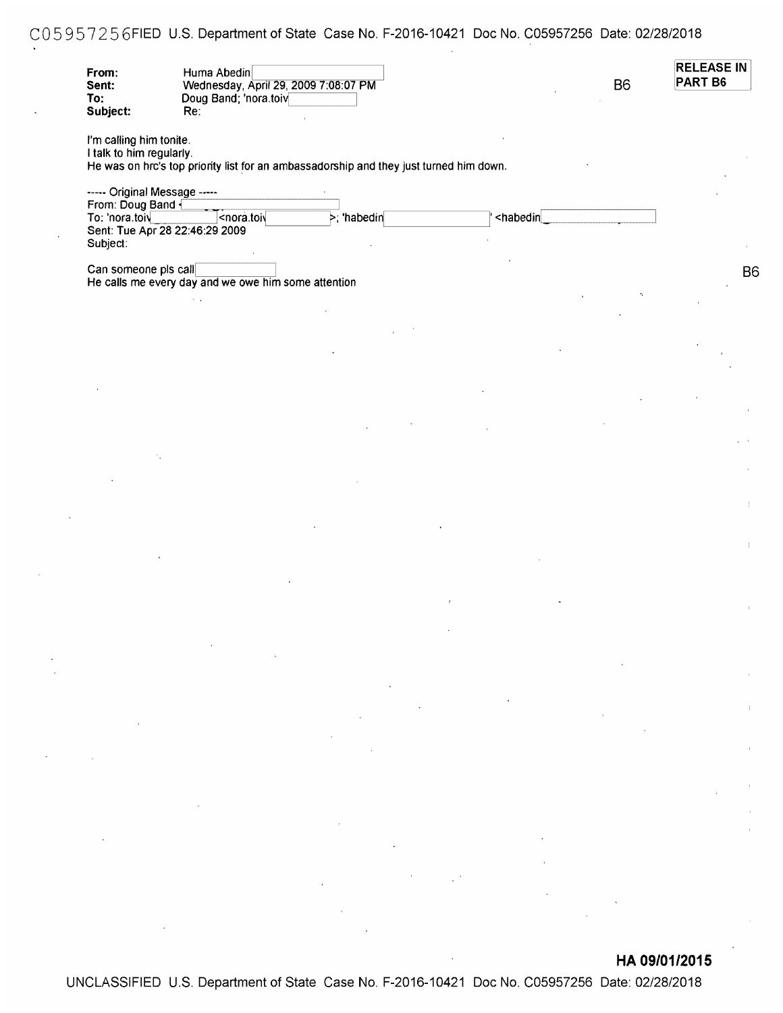## COS 95 7 25 6FIED U.S. Department of State Case No. F-2016-10421 Doc No. C05957256 Date: 02/28/2018

| From:<br>Sent:<br>To:<br>Subject:                   | Huma Abedin<br>Wednesday, April 29, 2009 7:08:07 PM<br>Doug Band; 'nora.toiv<br>Re:                                               |                                                                                        |                                               | <b>B6</b> | <b>RELEASE IN</b><br>PART B6 |
|-----------------------------------------------------|-----------------------------------------------------------------------------------------------------------------------------------|----------------------------------------------------------------------------------------|-----------------------------------------------|-----------|------------------------------|
| I'm calling him tonite.<br>I talk to him regularly. |                                                                                                                                   | He was on hrc's top priority list for an ambassadorship and they just turned him down. |                                               |           |                              |
| ----- Original Message -----                        |                                                                                                                                   |                                                                                        |                                               |           |                              |
| From: Doug Band<br>To: 'nora.toiv                   | <nora.toi< th=""><th><math>\triangleright</math>; 'habedin</th><th><habedin< th=""><th></th><th></th></habedin<></th></nora.toi<> | $\triangleright$ ; 'habedin                                                            | <habedin< th=""><th></th><th></th></habedin<> |           |                              |
| Subject:                                            | Sent: Tue Apr 28 22:46:29 2009                                                                                                    |                                                                                        |                                               |           |                              |
| Can someone pls call                                |                                                                                                                                   |                                                                                        |                                               |           |                              |
|                                                     | He calls me every day and we owe him some attention                                                                               |                                                                                        |                                               |           |                              |
|                                                     |                                                                                                                                   |                                                                                        |                                               |           |                              |
|                                                     |                                                                                                                                   |                                                                                        |                                               |           |                              |
|                                                     |                                                                                                                                   |                                                                                        |                                               |           |                              |
|                                                     |                                                                                                                                   |                                                                                        |                                               |           |                              |
|                                                     |                                                                                                                                   |                                                                                        |                                               |           |                              |
|                                                     |                                                                                                                                   |                                                                                        |                                               |           |                              |
|                                                     |                                                                                                                                   |                                                                                        |                                               |           |                              |
|                                                     |                                                                                                                                   |                                                                                        |                                               |           |                              |
|                                                     |                                                                                                                                   |                                                                                        |                                               |           |                              |
|                                                     |                                                                                                                                   |                                                                                        |                                               |           |                              |
|                                                     |                                                                                                                                   |                                                                                        |                                               |           |                              |
|                                                     |                                                                                                                                   |                                                                                        |                                               |           |                              |
|                                                     |                                                                                                                                   |                                                                                        |                                               |           |                              |
|                                                     |                                                                                                                                   |                                                                                        |                                               |           |                              |
|                                                     |                                                                                                                                   |                                                                                        |                                               |           |                              |

**HA 09/01/2015** 

UNCLASSIFIED U.S. Department of State Case No. F-2016-10421 Doc No. C05957256 Date: 02/28/2018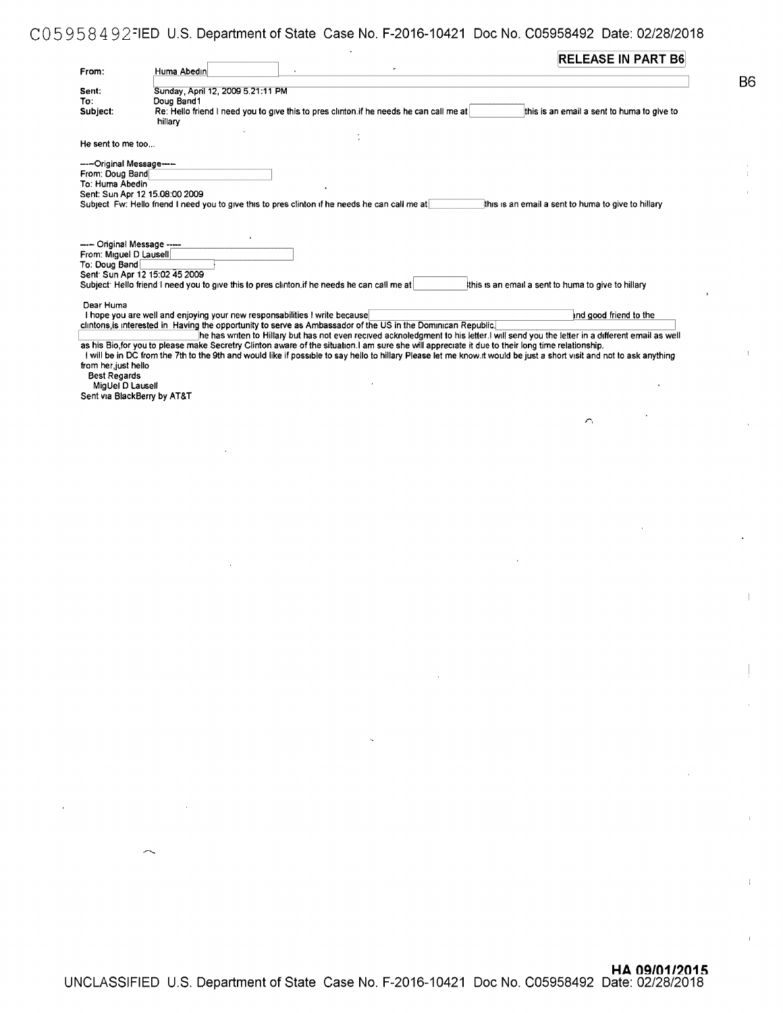## C05958492=1ED U.S. Department of State Case No. F-2016-10421 Doc No. C05958492 Date: 02/28/2018

| From:                                                | Huma Abedin                                                                |                                                                                                                                                                                                                                                                                                                            | <b>RELEASE IN PART B6</b>                           |
|------------------------------------------------------|----------------------------------------------------------------------------|----------------------------------------------------------------------------------------------------------------------------------------------------------------------------------------------------------------------------------------------------------------------------------------------------------------------------|-----------------------------------------------------|
|                                                      |                                                                            |                                                                                                                                                                                                                                                                                                                            |                                                     |
| Sent:                                                | Sunday, April 12, 2009 5.21:11 PM                                          |                                                                                                                                                                                                                                                                                                                            |                                                     |
| To:                                                  | Doug Band1                                                                 |                                                                                                                                                                                                                                                                                                                            |                                                     |
| Subject:                                             |                                                                            | Re: Hello friend I need you to give this to pres clinton if he needs he can call me at                                                                                                                                                                                                                                     | this is an email a sent to huma to give to          |
|                                                      | hillary                                                                    |                                                                                                                                                                                                                                                                                                                            |                                                     |
| He sent to me too                                    |                                                                            |                                                                                                                                                                                                                                                                                                                            |                                                     |
| ----Original Message----                             |                                                                            |                                                                                                                                                                                                                                                                                                                            |                                                     |
| From: Doug Band                                      |                                                                            |                                                                                                                                                                                                                                                                                                                            |                                                     |
| To: Huma Abedin                                      |                                                                            |                                                                                                                                                                                                                                                                                                                            |                                                     |
|                                                      | Sent: Sun Apr 12 15.08:00 2009                                             | Subject Fw: Hello fnend I need you to give this to presiclinton if he needs he can call me at                                                                                                                                                                                                                              |                                                     |
| ---- Original Message ----<br>From: Miguel D Lausell |                                                                            |                                                                                                                                                                                                                                                                                                                            |                                                     |
| To: Doug Band                                        |                                                                            |                                                                                                                                                                                                                                                                                                                            |                                                     |
|                                                      | Sent: Sun Apr 12 15:02 45 2009                                             |                                                                                                                                                                                                                                                                                                                            |                                                     |
|                                                      |                                                                            | Subject: Hello friend I need you to give this to pres clinton if he needs he can call me at                                                                                                                                                                                                                                | Ithis is an email a sent to huma to give to hillary |
|                                                      |                                                                            |                                                                                                                                                                                                                                                                                                                            |                                                     |
| Dear Huma                                            |                                                                            |                                                                                                                                                                                                                                                                                                                            |                                                     |
|                                                      | I hope you are well and enjoying your new responsabilities I write because |                                                                                                                                                                                                                                                                                                                            | and good friend to the                              |
|                                                      |                                                                            | clintons is interested in Having the opportunity to serve as Ambassador of the US in the Dominican Republic.                                                                                                                                                                                                               |                                                     |
|                                                      |                                                                            | he has writen to Hillary but has not even recived acknoledgment to his letter. I will send you the letter in a different email as well                                                                                                                                                                                     |                                                     |
| Best Regards<br>MigUel D Lausell                     |                                                                            | as his Bio, for you to please make Secretry Clinton aware of the situation. I am sure she will appreciate it due to their long time relationship.<br>I will be in DC from the 7th to the 9th and would like if possible to say hello to hillary Please let me know. It would be just a short visit and not to ask anything |                                                     |
|                                                      |                                                                            |                                                                                                                                                                                                                                                                                                                            |                                                     |
|                                                      |                                                                            |                                                                                                                                                                                                                                                                                                                            | $\sim$                                              |
|                                                      |                                                                            |                                                                                                                                                                                                                                                                                                                            |                                                     |
|                                                      |                                                                            |                                                                                                                                                                                                                                                                                                                            |                                                     |
|                                                      |                                                                            |                                                                                                                                                                                                                                                                                                                            |                                                     |
|                                                      |                                                                            |                                                                                                                                                                                                                                                                                                                            |                                                     |
|                                                      |                                                                            |                                                                                                                                                                                                                                                                                                                            |                                                     |
|                                                      |                                                                            |                                                                                                                                                                                                                                                                                                                            |                                                     |
|                                                      |                                                                            |                                                                                                                                                                                                                                                                                                                            |                                                     |
|                                                      |                                                                            |                                                                                                                                                                                                                                                                                                                            |                                                     |
|                                                      |                                                                            |                                                                                                                                                                                                                                                                                                                            |                                                     |
|                                                      |                                                                            |                                                                                                                                                                                                                                                                                                                            |                                                     |
|                                                      |                                                                            |                                                                                                                                                                                                                                                                                                                            |                                                     |
|                                                      |                                                                            |                                                                                                                                                                                                                                                                                                                            |                                                     |
|                                                      |                                                                            |                                                                                                                                                                                                                                                                                                                            |                                                     |
|                                                      |                                                                            |                                                                                                                                                                                                                                                                                                                            |                                                     |
|                                                      |                                                                            |                                                                                                                                                                                                                                                                                                                            |                                                     |
| from her, just hello<br>Sent via BlackBerry by AT&T  |                                                                            |                                                                                                                                                                                                                                                                                                                            |                                                     |
|                                                      |                                                                            |                                                                                                                                                                                                                                                                                                                            |                                                     |
|                                                      |                                                                            |                                                                                                                                                                                                                                                                                                                            |                                                     |
|                                                      |                                                                            |                                                                                                                                                                                                                                                                                                                            |                                                     |
|                                                      |                                                                            |                                                                                                                                                                                                                                                                                                                            |                                                     |

 $\frac{1}{4}$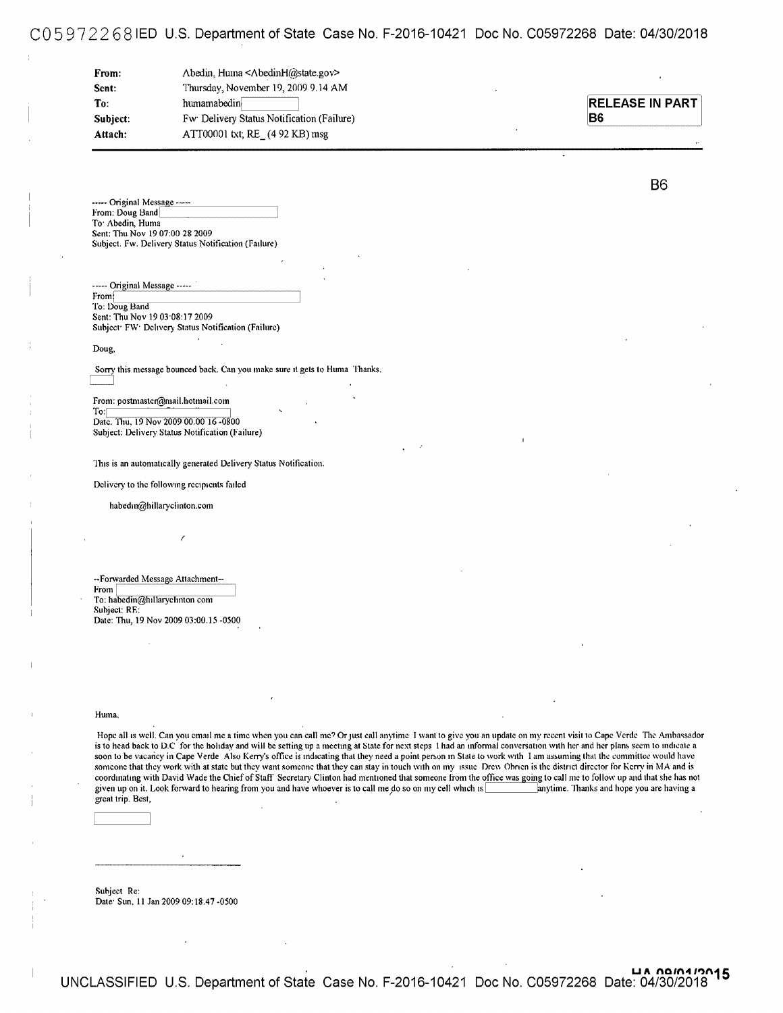### CO 5 9 7 2 2 6 8 IED U.S. Department of State Case No. F-2016-10421 Doc No. C05972268 Date: 04/30/2018

| From:    | Abedin, Huma <abedinh@state.gov></abedinh@state.gov> |
|----------|------------------------------------------------------|
| Sent:    | Thursday, November 19, 2009 9.14 AM                  |
| To:      | humamabedin                                          |
| Subject: | Fw Delivery Status Notification (Failure)            |
| Attach:  | ATT00001 txt; $RE$ (4 92 KB) msg                     |

**RELEASE IN PART 86** 

--- Original Message ----From: Doug Band To<sup>·</sup> Abedin, Huma Sent: Thu Nov 19 07:00 28 2009 Subject. fw. Delivery Status Notification (failure)

| ----- Original Message -----                                    |  |
|-----------------------------------------------------------------|--|
| Fromi                                                           |  |
| To: Doug Band                                                   |  |
| Sent: Thu Nov 19 03 08:17 2009                                  |  |
| Subject <sup>,</sup> FW: Delivery Status Notification (Failure) |  |

#### Doug,

Sorry this message bounced back. Can you make sure it gets to Huma Thanks. C:=J

From: postmaster@mail.hotmail.com

To: Date. Thu, 19 Nov 2009 00.00 16 -0800 Subject: Oelivery Status Notification (Failure)

This is an automatically generated Delivery Status Notification.

Delivery to the following recipients failed

I

habedin@hillaryclinton.com

--Forwarded Message Attachment--From To: habedin@hillaryclinton com Suhject: RE: Date: Thu, 19 Nov 2009 03:00.15 -0500

#### Huma.

Hope all is well. Can you email me a time when you can call me? Or just call anytime I want to give you an update on my recent visit to Cape Verde The Ambassador is to head back to D.C for the holiday and will be setting up a meeting at State for next steps 1 had an informal conversation with her and her plans seem to indicate a soon to be vacancy in Cape Verde Also Kerry's office is indicating that they need a point person in State to work with I am assuming that the committee would have someone that they work with at state but they want someone that they can stay in touch with on my issue Drew Ohnen is the district director for Kerry in MA and is coordinating with David Wade the Chief of Staff Secretary Clinton had mentioned that someone from the office was going to call me to follow up and that she has not given up on it. Look forward to hearing from you and have whoever is to call me do so on my cell which is anytime. Thanks and hope you are having a great trip. Best, .

Subject Re: Date: Sun. 11 Jan 2009 09:18.47 -0500 86

UA <u>noin4 12015</u> UNCLASSIFIED U.S. Department of State Case No. F-2016-10421 Doc No. C05972268 Date: 04/30/2018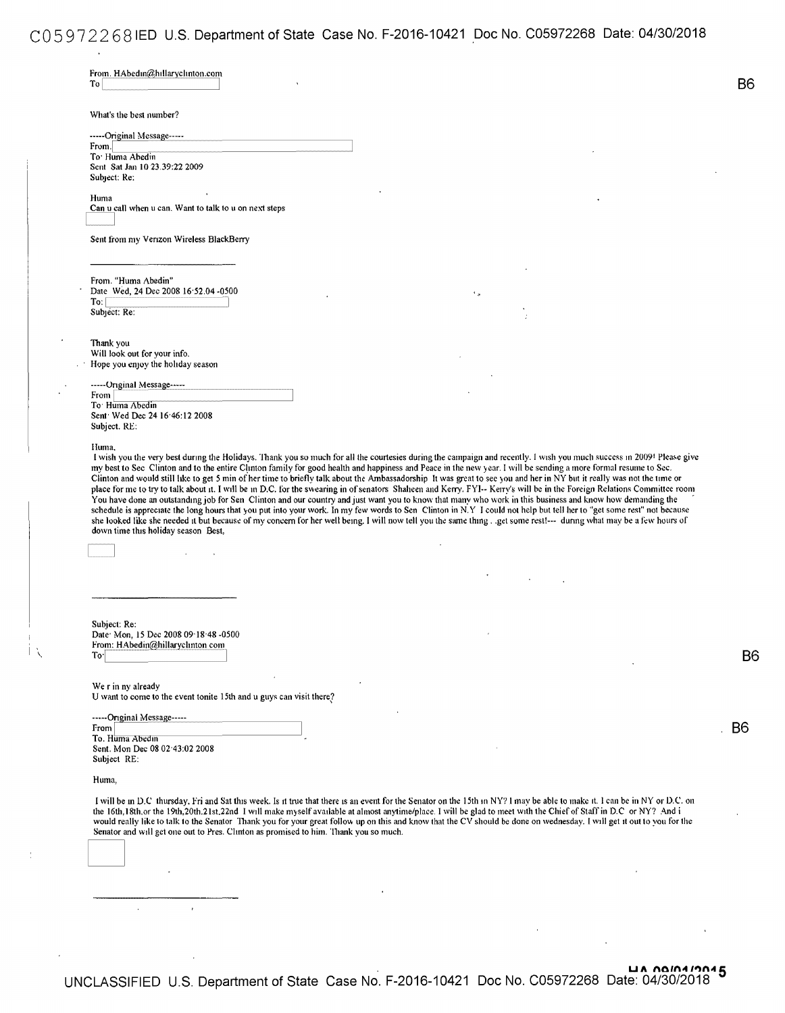# CO 5 9 7 2 2 6 8 IED U.S. Department of State Case No. F-2016-10421 Doc No. C05972268 Date: 04/30/2018

| What's the best number?                                                                                                                                                                                                                                                                                                                                                                                                                                                                                                                                                                                                                                                                                                                                                                                                                                                                         |                    |                                                                                                                                                                       |                |
|-------------------------------------------------------------------------------------------------------------------------------------------------------------------------------------------------------------------------------------------------------------------------------------------------------------------------------------------------------------------------------------------------------------------------------------------------------------------------------------------------------------------------------------------------------------------------------------------------------------------------------------------------------------------------------------------------------------------------------------------------------------------------------------------------------------------------------------------------------------------------------------------------|--------------------|-----------------------------------------------------------------------------------------------------------------------------------------------------------------------|----------------|
| -----Original Message-----                                                                                                                                                                                                                                                                                                                                                                                                                                                                                                                                                                                                                                                                                                                                                                                                                                                                      |                    |                                                                                                                                                                       |                |
| From.<br>To Huma Abedin                                                                                                                                                                                                                                                                                                                                                                                                                                                                                                                                                                                                                                                                                                                                                                                                                                                                         |                    |                                                                                                                                                                       |                |
| Sent Sat Jan 10 23.39:22 2009                                                                                                                                                                                                                                                                                                                                                                                                                                                                                                                                                                                                                                                                                                                                                                                                                                                                   |                    |                                                                                                                                                                       |                |
| Subject: Re:                                                                                                                                                                                                                                                                                                                                                                                                                                                                                                                                                                                                                                                                                                                                                                                                                                                                                    |                    |                                                                                                                                                                       |                |
| Huma                                                                                                                                                                                                                                                                                                                                                                                                                                                                                                                                                                                                                                                                                                                                                                                                                                                                                            |                    |                                                                                                                                                                       |                |
| Can u call when u can. Want to talk to u on next steps                                                                                                                                                                                                                                                                                                                                                                                                                                                                                                                                                                                                                                                                                                                                                                                                                                          |                    |                                                                                                                                                                       |                |
|                                                                                                                                                                                                                                                                                                                                                                                                                                                                                                                                                                                                                                                                                                                                                                                                                                                                                                 |                    |                                                                                                                                                                       |                |
| Sent from my Verizon Wireless BlackBerry                                                                                                                                                                                                                                                                                                                                                                                                                                                                                                                                                                                                                                                                                                                                                                                                                                                        |                    |                                                                                                                                                                       |                |
|                                                                                                                                                                                                                                                                                                                                                                                                                                                                                                                                                                                                                                                                                                                                                                                                                                                                                                 |                    |                                                                                                                                                                       |                |
|                                                                                                                                                                                                                                                                                                                                                                                                                                                                                                                                                                                                                                                                                                                                                                                                                                                                                                 |                    |                                                                                                                                                                       |                |
| From. "Huma Abedin"                                                                                                                                                                                                                                                                                                                                                                                                                                                                                                                                                                                                                                                                                                                                                                                                                                                                             |                    |                                                                                                                                                                       |                |
| Date Wed, 24 Dec 2008 16:52.04 -0500<br>$To: \lceil$                                                                                                                                                                                                                                                                                                                                                                                                                                                                                                                                                                                                                                                                                                                                                                                                                                            | $\epsilon_{\rm p}$ |                                                                                                                                                                       |                |
| Subject: Re:                                                                                                                                                                                                                                                                                                                                                                                                                                                                                                                                                                                                                                                                                                                                                                                                                                                                                    |                    |                                                                                                                                                                       |                |
|                                                                                                                                                                                                                                                                                                                                                                                                                                                                                                                                                                                                                                                                                                                                                                                                                                                                                                 |                    |                                                                                                                                                                       |                |
| Thank you                                                                                                                                                                                                                                                                                                                                                                                                                                                                                                                                                                                                                                                                                                                                                                                                                                                                                       |                    |                                                                                                                                                                       |                |
| Will look out for your info.                                                                                                                                                                                                                                                                                                                                                                                                                                                                                                                                                                                                                                                                                                                                                                                                                                                                    |                    |                                                                                                                                                                       |                |
| Hope you enjoy the holiday season                                                                                                                                                                                                                                                                                                                                                                                                                                                                                                                                                                                                                                                                                                                                                                                                                                                               |                    |                                                                                                                                                                       |                |
| -----Original Message-----                                                                                                                                                                                                                                                                                                                                                                                                                                                                                                                                                                                                                                                                                                                                                                                                                                                                      |                    |                                                                                                                                                                       |                |
| From                                                                                                                                                                                                                                                                                                                                                                                                                                                                                                                                                                                                                                                                                                                                                                                                                                                                                            |                    |                                                                                                                                                                       |                |
| To Huma Abedin<br>Sent Wed Dec 24 16:46:12 2008                                                                                                                                                                                                                                                                                                                                                                                                                                                                                                                                                                                                                                                                                                                                                                                                                                                 |                    |                                                                                                                                                                       |                |
| Subject. RE:                                                                                                                                                                                                                                                                                                                                                                                                                                                                                                                                                                                                                                                                                                                                                                                                                                                                                    |                    |                                                                                                                                                                       |                |
|                                                                                                                                                                                                                                                                                                                                                                                                                                                                                                                                                                                                                                                                                                                                                                                                                                                                                                 |                    |                                                                                                                                                                       |                |
| my best to Sec Clinton and to the entire Clinton family for good health and happiness and Peace in the new year. I will be sending a more formal resume to Sec.<br>Clinton and would still like to get 5 min of her time to briefly talk about the Ambassadorship It was great to see you and her in NY but it really was not the time or<br>place for me to try to talk about it. I will be in D.C. for the swearing in of senators Shaheen and Kerry. FYI-- Kerry's will be in the Foreign Relations Committee room<br>You have done an outstanding job for Sen Clinton and our country and just want you to know that many who work in this business and know how demanding the<br>schedule is appreciate the long hours that you put into your work. In my few words to Sen Clinton in N.Y I could not help but tell her to "get some rest" not because                                     |                    | I wish you the very best during the Holidays. Thank you so much for all the courtesies during the campaign and recently. I wish you much success in 2009! Please give |                |
|                                                                                                                                                                                                                                                                                                                                                                                                                                                                                                                                                                                                                                                                                                                                                                                                                                                                                                 |                    |                                                                                                                                                                       |                |
|                                                                                                                                                                                                                                                                                                                                                                                                                                                                                                                                                                                                                                                                                                                                                                                                                                                                                                 |                    |                                                                                                                                                                       |                |
|                                                                                                                                                                                                                                                                                                                                                                                                                                                                                                                                                                                                                                                                                                                                                                                                                                                                                                 |                    |                                                                                                                                                                       |                |
|                                                                                                                                                                                                                                                                                                                                                                                                                                                                                                                                                                                                                                                                                                                                                                                                                                                                                                 |                    |                                                                                                                                                                       |                |
|                                                                                                                                                                                                                                                                                                                                                                                                                                                                                                                                                                                                                                                                                                                                                                                                                                                                                                 |                    |                                                                                                                                                                       |                |
|                                                                                                                                                                                                                                                                                                                                                                                                                                                                                                                                                                                                                                                                                                                                                                                                                                                                                                 |                    |                                                                                                                                                                       |                |
|                                                                                                                                                                                                                                                                                                                                                                                                                                                                                                                                                                                                                                                                                                                                                                                                                                                                                                 |                    |                                                                                                                                                                       |                |
|                                                                                                                                                                                                                                                                                                                                                                                                                                                                                                                                                                                                                                                                                                                                                                                                                                                                                                 |                    |                                                                                                                                                                       |                |
|                                                                                                                                                                                                                                                                                                                                                                                                                                                                                                                                                                                                                                                                                                                                                                                                                                                                                                 |                    |                                                                                                                                                                       |                |
|                                                                                                                                                                                                                                                                                                                                                                                                                                                                                                                                                                                                                                                                                                                                                                                                                                                                                                 |                    |                                                                                                                                                                       |                |
|                                                                                                                                                                                                                                                                                                                                                                                                                                                                                                                                                                                                                                                                                                                                                                                                                                                                                                 |                    |                                                                                                                                                                       |                |
|                                                                                                                                                                                                                                                                                                                                                                                                                                                                                                                                                                                                                                                                                                                                                                                                                                                                                                 |                    |                                                                                                                                                                       |                |
|                                                                                                                                                                                                                                                                                                                                                                                                                                                                                                                                                                                                                                                                                                                                                                                                                                                                                                 |                    |                                                                                                                                                                       |                |
|                                                                                                                                                                                                                                                                                                                                                                                                                                                                                                                                                                                                                                                                                                                                                                                                                                                                                                 |                    |                                                                                                                                                                       |                |
|                                                                                                                                                                                                                                                                                                                                                                                                                                                                                                                                                                                                                                                                                                                                                                                                                                                                                                 |                    |                                                                                                                                                                       |                |
|                                                                                                                                                                                                                                                                                                                                                                                                                                                                                                                                                                                                                                                                                                                                                                                                                                                                                                 |                    |                                                                                                                                                                       |                |
|                                                                                                                                                                                                                                                                                                                                                                                                                                                                                                                                                                                                                                                                                                                                                                                                                                                                                                 |                    |                                                                                                                                                                       |                |
|                                                                                                                                                                                                                                                                                                                                                                                                                                                                                                                                                                                                                                                                                                                                                                                                                                                                                                 |                    |                                                                                                                                                                       |                |
|                                                                                                                                                                                                                                                                                                                                                                                                                                                                                                                                                                                                                                                                                                                                                                                                                                                                                                 |                    |                                                                                                                                                                       |                |
| I will be in D.C thursday, Fri and Sat this week. Is it true that there is an event for the Senator on the 15th in NY? I may be able to make it. I can be in NY or D.C. on                                                                                                                                                                                                                                                                                                                                                                                                                                                                                                                                                                                                                                                                                                                      |                    |                                                                                                                                                                       | B <sub>6</sub> |
| she looked like she needed it but because of my concern for her well being. I will now tell you the same thing. .get some rest!--- during what may be a few hours of<br>down time this holiday season Best,<br>Subject: Re:<br>Date: Mon, 15 Dec 2008 09:18:48 -0500<br>From: HAbedin@hillaryclinton com<br>To <sub>1</sub><br>We r in ny already<br>U want to come to the event tonite 15th and u guys can visit there?<br>-----Original Message-----<br>From<br>To. Huma Abedin<br>Sent. Mon Dec 08 02:43:02 2008<br>Subject RE:<br>Huma,<br>the 16th, 18th, or the 19th, 20th. 21st, 22nd I will make myself available at almost anytime/place. I will be glad to meet with the Chief of Staff in D.C or NY? And i<br>would really like to talk to the Senator Thank you for your great follow up on this and know that the CV should be done on wednesday. I will get it out to vou for the |                    |                                                                                                                                                                       |                |
| Senator and will get one out to Pres. Clinton as promised to him. Thank you so much.                                                                                                                                                                                                                                                                                                                                                                                                                                                                                                                                                                                                                                                                                                                                                                                                            |                    |                                                                                                                                                                       |                |
|                                                                                                                                                                                                                                                                                                                                                                                                                                                                                                                                                                                                                                                                                                                                                                                                                                                                                                 |                    |                                                                                                                                                                       |                |
|                                                                                                                                                                                                                                                                                                                                                                                                                                                                                                                                                                                                                                                                                                                                                                                                                                                                                                 |                    |                                                                                                                                                                       |                |
|                                                                                                                                                                                                                                                                                                                                                                                                                                                                                                                                                                                                                                                                                                                                                                                                                                                                                                 |                    |                                                                                                                                                                       |                |

\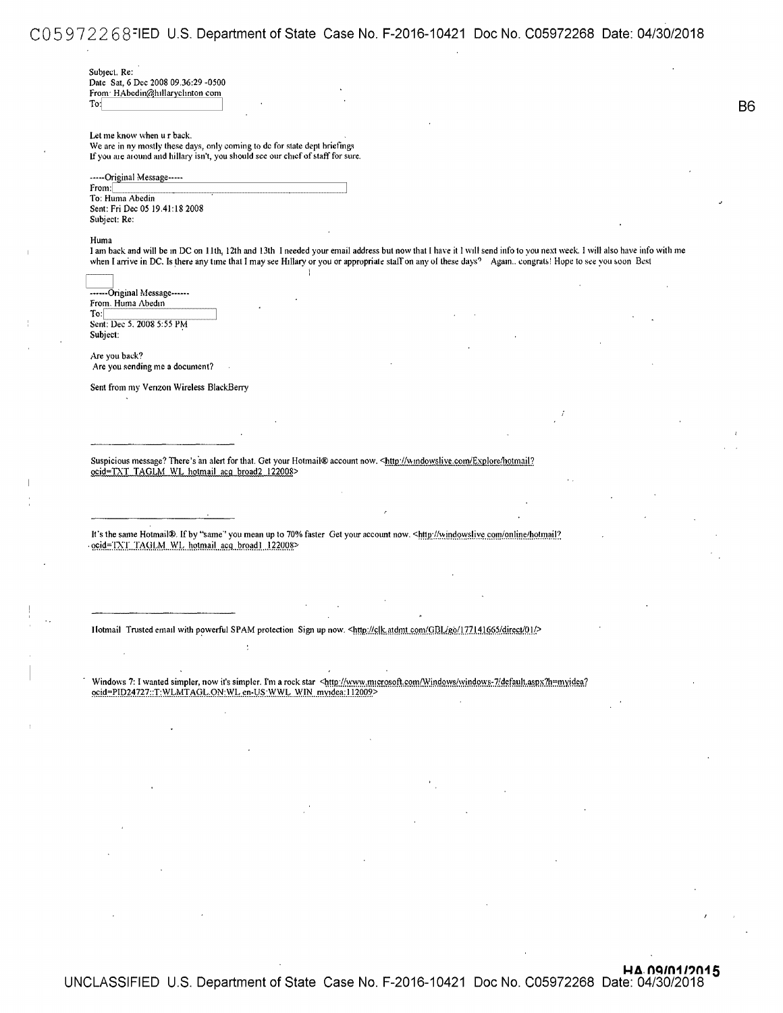### CO 5 9 7 2 2 6 3-1ED U.S. Department of State Case No. F-2016-10421 Doc No. C05972268 Date: 04/30/2018

Subject. Re: Date Sat. 6 Dec 2008 09 .36:29 -0500 From HAbedin@hillaryclinton com To:

Let me know when u r back. We are in ny mostly these days, only coming to de for state dept briefings If you are around and hillary isn't, you should see our chief of staff for sure.

-----Original Message-----From: To: Huma Abedin Sent: Fri Dec 05 19.41:18 2008 Subject: Re:

#### Huma

I am back and will be m DC on 11th, 12th and 13th I needed your email address but now that I have it I will send info to you next week. I will also have info with me when I arrive in DC. Is there any time that I may see Hillary or you or appropriate staff on any of these days? Agam.. congrats! Hope to see you soon Best

------Original Message------From. Huma Abedin To: Sent: Dec 5, 2008 5:55 PM Subject:

Are you back? Are you sending me a document?

Sent from my Venzon Wireless BlackBerry

Suspicious message? There's an alert for that. Get your Hotmail® account now. <http://w.mdowslive.com/Explore/hotmail? ocid=TXT TAGLM WL hotmail acg broad2 122008>

l

It's the same Hotmail®. If by "same" you mean up to 70% faster Get your account now. <http://windowslive.com/online/hotmail? · 9.0id=TXT. TAGLM. WL. hotmail. acq. broad1. 122008>

Ilotmail Trusted email with powerful SPAM protection Sign up now. <http://clk.atdmt.com/GBL/go/177141665/direct/01/>

Windows 7: I wanted simpler, now it's simpler. I'm a rock star <http://www.microsoft.com/Windows/windows-7/default.aspx?h=myidea? ocid=PID24727::T:WLMTAGL.ON:WL en-US:WWL WIN myidea:112009>

**B**<sup>6</sup>

**HA. 09/01/2015**